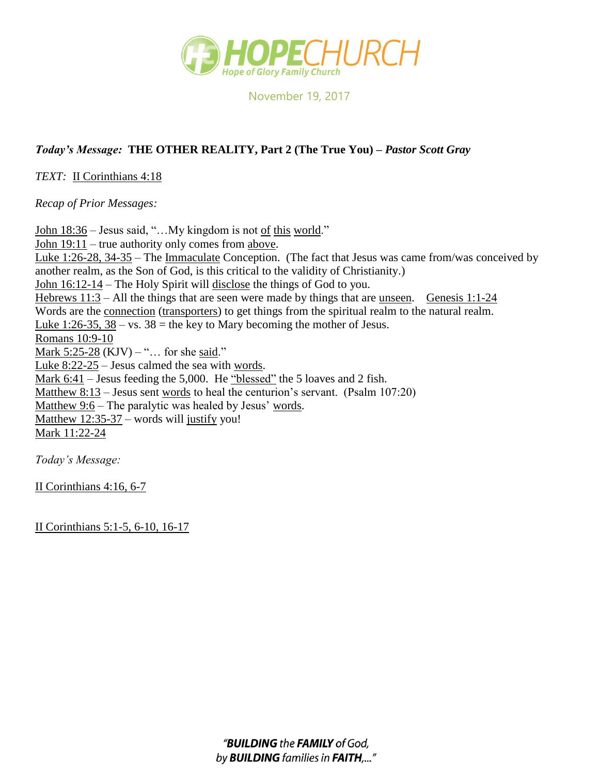

November 19, 2017

## *Today's Message:* **THE OTHER REALITY, Part 2 (The True You) –** *Pastor Scott Gray*

*TEXT:* II Corinthians 4:18

*Recap of Prior Messages:*

John 18:36 – Jesus said, "...My kingdom is not of this world." John 19:11 – true authority only comes from above. Luke 1:26-28, 34-35 – The Immaculate Conception. (The fact that Jesus was came from/was conceived by another realm, as the Son of God, is this critical to the validity of Christianity.) John 16:12-14 – The Holy Spirit will disclose the things of God to you. Hebrews 11:3 – All the things that are seen were made by things that are unseen. Genesis 1:1-24 Words are the <u>connection</u> (transporters) to get things from the spiritual realm to the natural realm. Luke 1:26-35,  $\overline{38 - vs. 38}$  = the key to Mary becoming the mother of Jesus. Romans 10:9-10 Mark  $5:25-28$  (KJV) – "... for she said." Luke 8:22-25 – Jesus calmed the sea with words. Mark 6:41 – Jesus feeding the 5,000. He "blessed" the 5 loaves and 2 fish. Matthew 8:13 – Jesus sent words to heal the centurion's servant. (Psalm 107:20) Matthew 9:6 – The paralytic was healed by Jesus' words. Matthew 12:35-37 – words will justify you! Mark 11:22-24

*Today's Message:*

II Corinthians 4:16, 6-7

II Corinthians 5:1-5, 6-10, 16-17